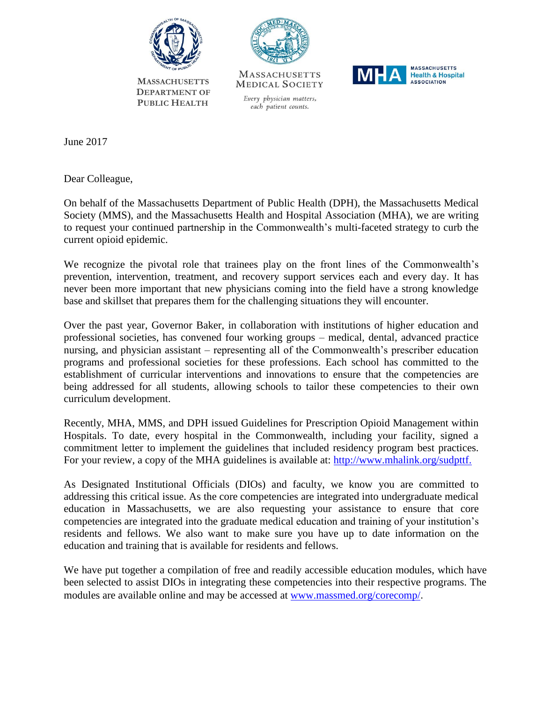

 **MASSACHUSETTS DEPARTMENT OF PUBLIC HEALTH**



**MASSACHUSETTS MEDICAL SOCIETY** 

Every physician matters, each patient counts.



June 2017

Dear Colleague,

On behalf of the Massachusetts Department of Public Health (DPH), the Massachusetts Medical Society (MMS), and the Massachusetts Health and Hospital Association (MHA), we are writing to request your continued partnership in the Commonwealth's multi-faceted strategy to curb the current opioid epidemic.

We recognize the pivotal role that trainees play on the front lines of the Commonwealth's prevention, intervention, treatment, and recovery support services each and every day. It has never been more important that new physicians coming into the field have a strong knowledge base and skillset that prepares them for the challenging situations they will encounter.

Over the past year, Governor Baker, in collaboration with institutions of higher education and professional societies, has convened four working groups – medical, dental, advanced practice nursing, and physician assistant – representing all of the Commonwealth's prescriber education programs and professional societies for these professions. Each school has committed to the establishment of curricular interventions and innovations to ensure that the competencies are being addressed for all students, allowing schools to tailor these competencies to their own curriculum development.

Recently, MHA, MMS, and DPH issued Guidelines for Prescription Opioid Management within Hospitals. To date, every hospital in the Commonwealth, including your facility, signed a commitment letter to implement the guidelines that included residency program best practices. For your review, a copy of the MHA guidelines is available at: [http://www.mhalink.org/sudpttf.](http://www.mhalink.org/sudpttf)

As Designated Institutional Officials (DIOs) and faculty, we know you are committed to addressing this critical issue. As the core competencies are integrated into undergraduate medical education in Massachusetts, we are also requesting your assistance to ensure that core competencies are integrated into the graduate medical education and training of your institution's residents and fellows. We also want to make sure you have up to date information on the education and training that is available for residents and fellows.

We have put together a compilation of free and readily accessible education modules, which have been selected to assist DIOs in integrating these competencies into their respective programs. The modules are available online and may be accessed at [www.massmed.org/corecomp/](http://www.massmed.org/corecomp/).